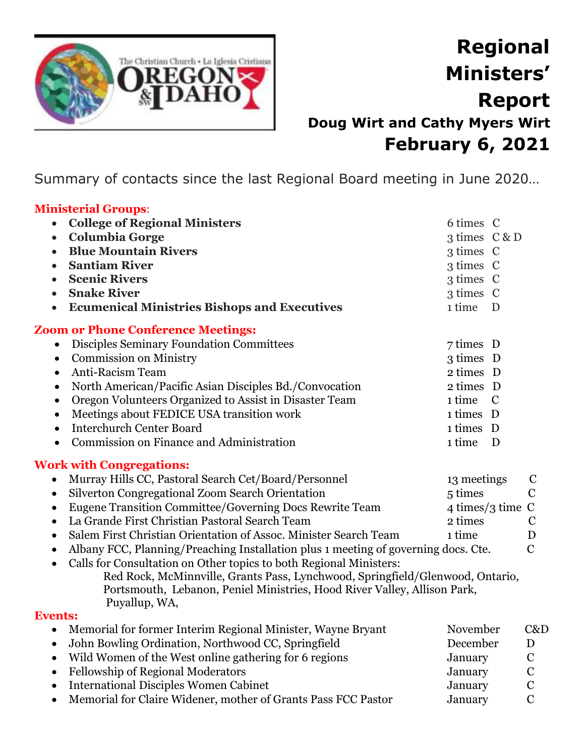

## **Regional Ministers' Report Doug Wirt and Cathy Myers Wirt February 6, 2021**

Summary of contacts since the last Regional Board meeting in June 2020…

## **Ministerial Groups**: • **College of Regional Ministers** 6 times C • **Columbia Gorge** 3 times C & D • **Blue Mountain Rivers** 3 times C • **Santiam River** 3 times C • **Scenic Rivers** 3 times C • **Snake River** 3 times C • **Ecumenical Ministries Bishops and Executives** 1 time D **Zoom or Phone Conference Meetings:** • Disciples Seminary Foundation Committees 7 times D • Commission on Ministry 3 times D • Anti-Racism Team 2 times D • North American/Pacific Asian Disciples Bd./Convocation 2 times D • Oregon Volunteers Organized to Assist in Disaster Team 1 time C • Meetings about FEDICE USA transition work 1 times D • Interchurch Center Board 1 times D • Commission on Finance and Administration 1 time D **Work with Congregations:**

| • Murray Hills CC, Pastoral Search Cet/Board/Personnel             | 13 meetings        | C             |
|--------------------------------------------------------------------|--------------------|---------------|
| • Silverton Congregational Zoom Search Orientation                 | 5 times            | $\mathcal{C}$ |
| • Eugene Transition Committee/Governing Docs Rewrite Team          | 4 times/3 time $C$ |               |
| • La Grande First Christian Pastoral Search Team                   | 2 times            | $\mathbf C$   |
| • Salem First Christian Orientation of Assoc. Minister Search Team | 1 time             | D             |

- Albany FCC, Planning/Preaching Installation plus 1 meeting of governing docs. Cte.  $\qquad C$
- Calls for Consultation on Other topics to both Regional Ministers: Red Rock, McMinnville, Grants Pass, Lynchwood, Springfield/Glenwood, Ontario, Portsmouth, Lebanon, Peniel Ministries, Hood River Valley, Allison Park, Puyallup, WA,

## **Events:**

| D           |
|-------------|
|             |
| $\mathbf C$ |
| $\mathbf C$ |
| $\mathbf C$ |
|             |
|             |